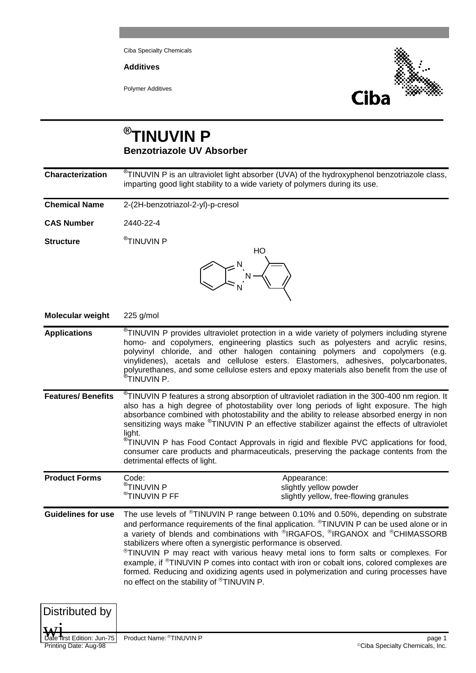Ciba Specialty Chemicals

**Additives**

Polymer Additives



## **® TINUVIN P Benzotriazole UV Absorber**

| Characterization          | <sup>®</sup> TINUVIN P is an ultraviolet light absorber (UVA) of the hydroxyphenol benzotriazole class,<br>imparting good light stability to a wide variety of polymers during its use.                                                                                                                                                                                                                                                                                                                                                                                                                                                                                                                                 |  |  |  |  |  |
|---------------------------|-------------------------------------------------------------------------------------------------------------------------------------------------------------------------------------------------------------------------------------------------------------------------------------------------------------------------------------------------------------------------------------------------------------------------------------------------------------------------------------------------------------------------------------------------------------------------------------------------------------------------------------------------------------------------------------------------------------------------|--|--|--|--|--|
| <b>Chemical Name</b>      | 2-(2H-benzotriazol-2-yl)-p-cresol                                                                                                                                                                                                                                                                                                                                                                                                                                                                                                                                                                                                                                                                                       |  |  |  |  |  |
| <b>CAS Number</b>         | 2440-22-4                                                                                                                                                                                                                                                                                                                                                                                                                                                                                                                                                                                                                                                                                                               |  |  |  |  |  |
| <b>Structure</b>          | $^{\circledR}$ TINUVIN P<br>HО                                                                                                                                                                                                                                                                                                                                                                                                                                                                                                                                                                                                                                                                                          |  |  |  |  |  |
|                           | $\sum_{n=1}^{\infty} \frac{1}{n} \left( \sum_{n=1}^{\infty} \frac{1}{n} \right)^n$                                                                                                                                                                                                                                                                                                                                                                                                                                                                                                                                                                                                                                      |  |  |  |  |  |
| <b>Molecular weight</b>   | $225$ g/mol                                                                                                                                                                                                                                                                                                                                                                                                                                                                                                                                                                                                                                                                                                             |  |  |  |  |  |
| <b>Applications</b>       | <sup>®</sup> TINUVIN P provides ultraviolet protection in a wide variety of polymers including styrene<br>homo- and copolymers, engineering plastics such as polyesters and acrylic resins,<br>polyvinyl chloride, and other halogen containing polymers and copolymers (e.g.<br>vinylidenes), acetals and cellulose esters. Elastomers, adhesives, polycarbonates,<br>polyurethanes, and some cellulose esters and epoxy materials also benefit from the use of<br><sup>®</sup> TINUVIN P.                                                                                                                                                                                                                             |  |  |  |  |  |
| <b>Features/Benefits</b>  | <sup>®</sup> TINUVIN P features a strong absorption of ultraviolet radiation in the 300-400 nm region. It<br>also has a high degree of photostability over long periods of light exposure. The high<br>absorbance combined with photostability and the ability to release absorbed energy in non<br>sensitizing ways make <sup>®</sup> TINUVIN P an effective stabilizer against the effects of ultraviolet<br>light.<br><sup>®</sup> TINUVIN P has Food Contact Approvals in rigid and flexible PVC applications for food,<br>consumer care products and pharmaceuticals, preserving the package contents from the<br>detrimental effects of light.                                                                    |  |  |  |  |  |
| <b>Product Forms</b>      | Code:<br>Appearance:<br>$^{\circledast}$ TINUVIN P<br>slightly yellow powder<br>$^\circledR$ TINUVIN P FF<br>slightly yellow, free-flowing granules                                                                                                                                                                                                                                                                                                                                                                                                                                                                                                                                                                     |  |  |  |  |  |
| <b>Guidelines for use</b> | The use levels of <sup>®</sup> TINUVIN P range between 0.10% and 0.50%, depending on substrate<br>and performance requirements of the final application. <sup>®</sup> TINUVIN P can be used alone or in<br>a variety of blends and combinations with ®IRGAFOS, ®IRGANOX and ®CHIMASSORB<br>stabilizers where often a synergistic performance is observed.<br><sup>®</sup> TINUVIN P may react with various heavy metal ions to form salts or complexes. For<br>example, if <sup>®</sup> TINUVIN P comes into contact with iron or cobalt ions, colored complexes are<br>formed. Reducing and oxidizing agents used in polymerization and curing processes have<br>no effect on the stability of <sup>®</sup> TINUVIN P. |  |  |  |  |  |



Date first Edition: Jun-75 Product Name: ®TINUVIN P page 1 Page 1 Page 1 Page 1 Page 1 Page 1 Page 1 Printing Date: Aug-98 ©Ciba Specialty Chemicals, Inc.